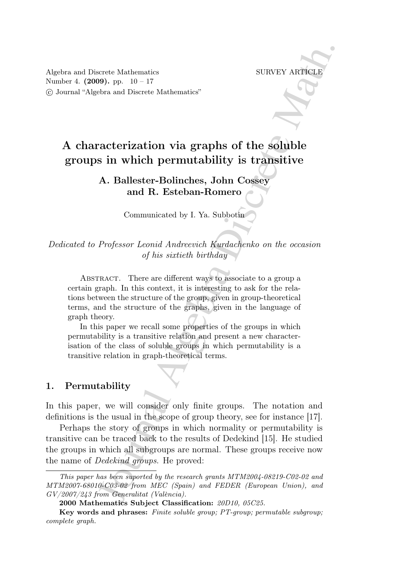Algebra and Discrete Mathematics SURVEY ARTICLE Number 4. (2009). pp. 10 – 17 ⃝c Journal "Algebra and Discrete Mathematics"

# A characterization via graphs of the soluble groups in which permutability is transitive

## A. Ballester-Bolinches, John Cossey and R. Esteban-Romero

Communicated by I. Ya. Subbotin

*Dedicated to Professor Leonid Andreevich Kurdachenko on the occasion of his sixtieth birthday*

scribe Mathematics<br>
SURVEY ARTICLE<br>
SURVEY ARTICLE<br>
Solven and Discrete Mathematics"<br>
Cobra and Discrete Mathematics"<br> **A.** Ballester-Bolinches, John Cossey<br>
and R. Exteban-Romero<br>
Communicated by I. Ya. Subbotin<br>  $\Box$ <br> ABSTRACT. There are different ways to associate to a group a certain graph. In this context, it is interesting to ask for the relations between the structure of the group, given in group-theoretical terms, and the structure of the graphs, given in the language of graph theory.

In this paper we recall some properties of the groups in which permutability is a transitive relation and present a new characterisation of the class of soluble groups in which permutability is a transitive relation in graph-theoretical terms.

### 1. Permutability

In this paper, we will consider only finite groups. The notation and definitions is the usual in the scope of group theory, see for instance [17].

Perhaps the story of groups in which normality or permutability is transitive can be traced back to the results of Dedekind [15]. He studied the groups in which all subgroups are normal. These groups receive now the name of *Dedekind groups*. He proved:

This paper has been suported by the research grants MTM2004-08219-C02-02 and MTM2007-68010-C03-02 from MEC (Spain) and FEDER (European Union), and  $GV/2007/243$  from Generalitat (València).

<sup>2000</sup> Mathematics Subject Classification: 20D10, 05C25.

Key words and phrases: Finite soluble group; PT-group; permutable subgroup; complete graph.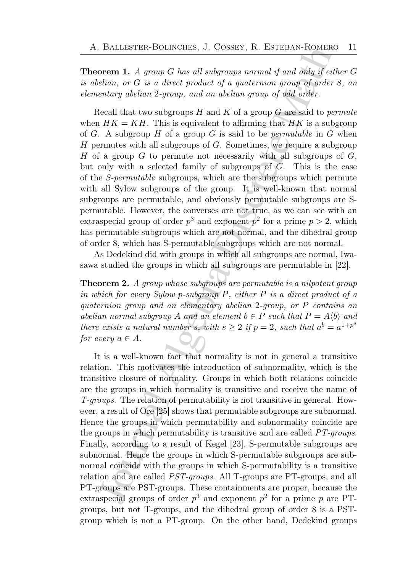**Theorem 1.** A group G has all subgroups normal if and only if either G *is abelian, or* 𝐺 *is a direct product of a quaternion group of order* 8*, an elementary abelian* 2*-group, and an abelian group of odd order.*

Recall that two subgroups H and K of a group G are said to *permute* when  $HK = KH$ . This is equivalent to affirming that HK is a subgroup of  $G$ . A subgroup  $H$  of a group  $G$  is said to be *permutable* in  $G$  when  $H$  permutes with all subgroups of  $G$ . Sometimes, we require a subgroup H of a group G to permute not necessarily with all subgroups of  $G$ , but only with a selected family of subgroups of  $G$ . This is the case of the *S-permutable* subgroups, which are the subgroups which permute with all Sylow subgroups of the group. It is well-known that normal subgroups are permutable, and obviously permutable subgroups are Spermutable. However, the converses are not true, as we can see with an extraspecial group of order  $p^3$  and exponent  $p^2$  for a prime  $p > 2$ , which has permutable subgroups which are not normal, and the dihedral group of order 8, which has S-permutable subgroups which are not normal.

As Dedekind did with groups in which all subgroups are normal, Iwasawa studied the groups in which all subgroups are permutable in [22].

Theorem 2. *A group whose subgroups are permutable is a nilpotent group in which for every Sylow p-subgroup*  $P$ *, either*  $P$  *is a direct product of a quaternion group and an elementary abelian* 2*-group, or* 𝑃 *contains an abelian normal subgroup* A and an element  $b \in P$  *such that*  $P = A \langle b \rangle$  and *there exists a natural number s*, with  $s \geq 2$  if  $p = 2$ , such that  $a^b = a^{1+p^s}$ *for every*  $a \in A$ .

. BALLESTER-BOLINCHES, J. COSSEY, R. ESTEBAN-ROMERO<br>
orem 1. A group G has all subgroups normal if and only if either<br>
orem 1. A group G has all subgroups normal if and only if either<br>
orem 1. A group G has all subgroups It is a well-known fact that normality is not in general a transitive relation. This motivates the introduction of subnormality, which is the transitive closure of normality. Groups in which both relations coincide are the groups in which normality is transitive and receive the name of *T-groups*. The relation of permutability is not transitive in general. However, a result of Ore [25] shows that permutable subgroups are subnormal. Hence the groups in which permutability and subnormality coincide are the groups in which permutability is transitive and are called *PT-groups*. Finally, according to a result of Kegel [23], S-permutable subgroups are subnormal. Hence the groups in which S-permutable subgroups are subnormal coincide with the groups in which S-permutability is a transitive relation and are called *PST-groups*. All T-groups are PT-groups, and all PT-groups are PST-groups. These containments are proper, because the extraspecial groups of order  $p^3$  and exponent  $p^2$  for a prime p are PTgroups, but not T-groups, and the dihedral group of order 8 is a PSTgroup which is not a PT-group. On the other hand, Dedekind groups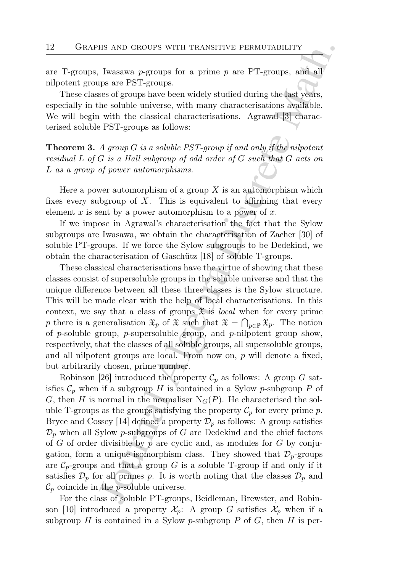are T-groups, Iwasawa  $p$ -groups for a prime  $p$  are PT-groups, and all nilpotent groups are PST-groups.

These classes of groups have been widely studied during the last years, especially in the soluble universe, with many characterisations available. We will begin with the classical characterisations. Agrawal [3] characterised soluble PST-groups as follows:

**Theorem 3.** A group G is a soluble PST-group if and only if the nilpotent *residual* L of G is a Hall subgroup of odd order of G such that G acts on L as a group of power automorphisms.

Here a power automorphism of a group  $X$  is an automorphism which fixes every subgroup of  $X$ . This is equivalent to affirming that every element x is sent by a power automorphism to a power of x.

If we impose in Agrawal's characterisation the fact that the Sylow subgroups are Iwasawa, we obtain the characterisation of Zacher [30] of soluble PT-groups. If we force the Sylow subgroups to be Dedekind, we obtain the characterisation of Gaschütz [18] of soluble T-groups.

These classical characterisations have the virtue of showing that these classes consist of supersoluble groups in the soluble universe and that the unique difference between all these three classes is the Sylow structure. This will be made clear with the help of local characterisations. In this context, we say that a class of groups  $\mathfrak X$  is *local* when for every prime p there is a generalisation  $\mathfrak{X}_p$  of  $\mathfrak{X}$  such that  $\mathfrak{X} = \bigcap_{p \in \mathbb{P}} \mathfrak{X}_p$ . The notion of  $p$ -soluble group,  $p$ -supersoluble group, and  $p$ -nilpotent group show, respectively, that the classes of all soluble groups, all supersoluble groups, and all nilpotent groups are local. From now on,  $p$  will denote a fixed, but arbitrarily chosen, prime number.

Hs AND GROUPS WITH TRANSITIVE PERMUTABILITY<br>
I lwasswa *p*-groups for a prime *p* are PT-groups, and all<br>
pgs are PST-groups.<br>
Lemance Portugal Algebra Discrete Matheline (the desired and all<br>
ps are PST-groups have been Robinson [26] introduced the property  $\mathcal{C}_p$  as follows: A group G satisfies  $\mathcal{C}_p$  when if a subgroup H is contained in a Sylow p-subgroup P of G, then H is normal in the normaliser  $N_G(P)$ . He characterised the soluble T-groups as the groups satisfying the property  $\mathcal{C}_p$  for every prime p. Bryce and Cossey [14] defined a property  $\mathcal{D}_p$  as follows: A group satisfies  $\mathcal{D}_p$  when all Sylow p-subgroups of G are Dedekind and the chief factors of  $G$  of order divisible by  $p$  are cyclic and, as modules for  $G$  by conjugation, form a unique isomorphism class. They showed that  $\mathcal{D}_p$ -groups are  $\mathcal{C}_p$ -groups and that a group G is a soluble T-group if and only if it satisfies  $\mathcal{D}_p$  for all primes p. It is worth noting that the classes  $\mathcal{D}_p$  and  $\mathcal{C}_p$  coincide in the *p*-soluble universe.

For the class of soluble PT-groups, Beidleman, Brewster, and Robinson [10] introduced a property  $\mathcal{X}_p$ : A group G satisfies  $\mathcal{X}_p$  when if a subgroup  $H$  is contained in a Sylow p-subgroup  $P$  of  $G$ , then  $H$  is per-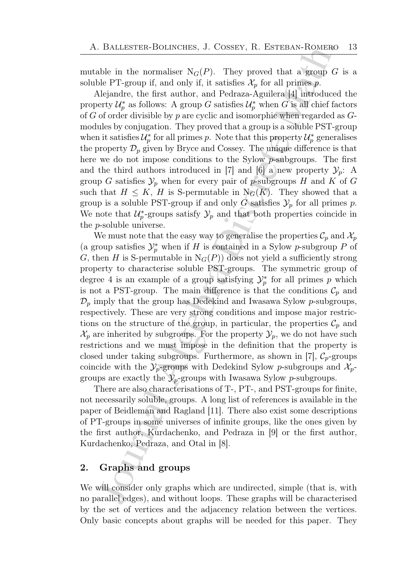mutable in the normaliser  $N_G(P)$ . They proved that a group G is a soluble PT-group if, and only if, it satisfies  $\mathcal{X}_p$  for all primes p.

Alejandre, the first author, and Pedraza-Aguilera [4] introduced the property  $\mathcal{U}_p^*$  as follows: A group G satisfies  $\mathcal{U}_p^*$  when G is all chief factors of  $G$  of order divisible by  $p$  are cyclic and isomorphic when regarded as  $G$ modules by conjugation. They proved that a group is a soluble PST-group when it satisfies  $\mathcal{U}_p^*$  for all primes p. Note that this property  $\mathcal{U}_p^*$  generalises the property  $\mathcal{D}_p$  given by Bryce and Cossey. The unique difference is that here we do not impose conditions to the Sylow  $p$ -subgroups. The first and the third authors introduced in [7] and [6] a new property  $\mathcal{Y}_p$ : A group G satisfies  $\mathcal{Y}_p$  when for every pair of p-subgroups H and K of G such that  $H \leq K$ , H is S-permutable in  $N_G(K)$ . They showed that a group is a soluble PST-group if and only G satisfies  $\mathcal{Y}_p$  for all primes p. We note that  $\mathcal{U}_p^*$ -groups satisfy  $\mathcal{Y}_p$  and that both properties coincide in the  $p$ -soluble universe.

. BALLESTER-BOLINCHES, J. COSSEY, R. ESTEBAN-ROMERO<br>
ble in the normaliser  $N_G(P)$ . They proved that a group  $G$ <br>
ble in the normaliser  $N_G(P)$ . They proved that a group  $G$ <br>
ble prigong if, and only if, it satisfies  $X_p$  f We must note that the easy way to generalise the properties  $\mathcal{C}_p$  and  $\mathcal{X}_p$ (a group satisfies  $\mathcal{Y}_p^*$  when if H is contained in a Sylow p-subgroup P of G, then H is S-permutable in  $N_G(P)$ ) does not yield a sufficiently strong property to characterise soluble PST-groups. The symmetric group of degree 4 is an example of a group satisfying  $\mathcal{Y}_p^*$  for all primes p which is not a PST-group. The main difference is that the conditions  $\mathcal{C}_p$  and  $\mathcal{D}_p$  imply that the group has Dedekind and Iwasawa Sylow p-subgroups, respectively. These are very strong conditions and impose major restrictions on the structure of the group, in particular, the properties  $\mathcal{C}_p$  and  $\mathcal{X}_p$  are inherited by subgroups. For the property  $\mathcal{Y}_p$ , we do not have such restrictions and we must impose in the definition that the property is closed under taking subgroups. Furthermore, as shown in [7],  $\mathcal{C}_p$ -groups coincide with the  $\mathcal{Y}_p$ -groups with Dedekind Sylow p-subgroups and  $\mathcal{X}_p$ groups are exactly the  $\mathcal{Y}_p$ -groups with Iwasawa Sylow p-subgroups.

There are also characterisations of T-, PT-, and PST-groups for finite, not necessarily soluble, groups. A long list of references is available in the paper of Beidleman and Ragland [11]. There also exist some descriptions of PT-groups in some universes of infinite groups, like the ones given by the first author, Kurdachenko, and Pedraza in [9] or the first author, Kurdachenko, Pedraza, and Otal in [8].

## 2. Graphs and groups

We will consider only graphs which are undirected, simple (that is, with no parallel edges), and without loops. These graphs will be characterised by the set of vertices and the adjacency relation between the vertices. Only basic concepts about graphs will be needed for this paper. They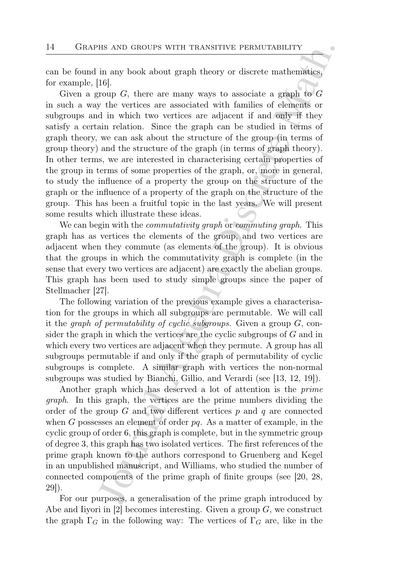can be found in any book about graph theory or discrete mathematics, for example, [16].

Hs AND GROUPS WITH TRANSITIVE PERMUTABILITY<br>
in any book about graph theory or discrete mathematics,<br>
[6]<br>
(7) in any book about graph theory or discrete mathematics,<br>
(7)<br/>copy  $G$ , there are many ways to associate a Given a group  $G$ , there are many ways to associate a graph to  $G$ in such a way the vertices are associated with families of elements or subgroups and in which two vertices are adjacent if and only if they satisfy a certain relation. Since the graph can be studied in terms of graph theory, we can ask about the structure of the group (in terms of group theory) and the structure of the graph (in terms of graph theory). In other terms, we are interested in characterising certain properties of the group in terms of some properties of the graph, or, more in general, to study the influence of a property the group on the structure of the graph or the influence of a property of the graph on the structure of the group. This has been a fruitful topic in the last years. We will present some results which illustrate these ideas.

We can begin with the *commutativity graph* or *commuting graph*. This graph has as vertices the elements of the group, and two vertices are adjacent when they commute (as elements of the group). It is obvious that the groups in which the commutativity graph is complete (in the sense that every two vertices are adjacent) are exactly the abelian groups. This graph has been used to study simple groups since the paper of Stellmacher [27].

The following variation of the previous example gives a characterisation for the groups in which all subgroups are permutable. We will call it the  $graph$  of permutability of cyclic subgroups. Given a group  $G$ , consider the graph in which the vertices are the cyclic subgroups of  $G$  and in which every two vertices are adjacent when they permute. A group has all subgroups permutable if and only if the graph of permutability of cyclic subgroups is complete. A similar graph with vertices the non-normal subgroups was studied by Bianchi, Gillio, and Verardi (see [13, 12, 19]).

Another graph which has deserved a lot of attention is the *prime graph*. In this graph, the vertices are the prime numbers dividing the order of the group  $G$  and two different vertices  $p$  and  $q$  are connected when  $G$  possesses an element of order  $pq$ . As a matter of example, in the cyclic group of order 6, this graph is complete, but in the symmetric group of degree 3, this graph has two isolated vertices. The first references of the prime graph known to the authors correspond to Gruenberg and Kegel in an unpublished manuscript, and Williams, who studied the number of connected components of the prime graph of finite groups (see [20, 28, 29]).

For our purposes, a generalisation of the prime graph introduced by Abe and Iiyori in [2] becomes interesting. Given a group  $G$ , we construct the graph  $\Gamma_G$  in the following way: The vertices of  $\Gamma_G$  are, like in the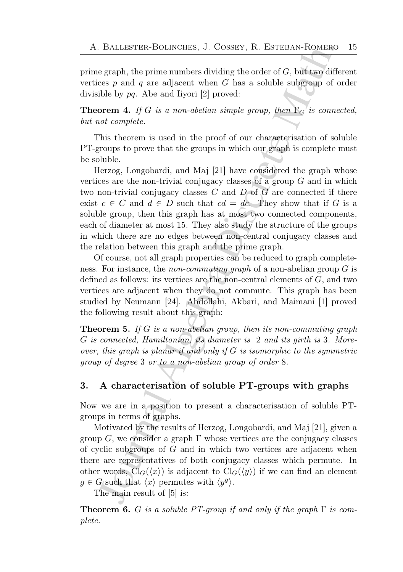prime graph, the prime numbers dividing the order of  $G$ , but two different vertices  $p$  and  $q$  are adjacent when  $G$  has a soluble subgroup of order divisible by  $pq$ . Abe and Iiyori [2] proved:

**Theorem 4.** *If G is a non-abelian simple group, then*  $\Gamma_G$  *is connected, but not complete.*

This theorem is used in the proof of our characterisation of soluble PT-groups to prove that the groups in which our graph is complete must be soluble.

. BALLESTER-BOLINCHES, J. COSSEY, R. ESTEBAN-ROMERO<br>
egraph, the prime numbers dividing the order of  $G$ , but two differes<br>
egraph, the prime numbers dividing the order of  $G$ , but two differes<br>
cose p and  $q$  are adjacen Herzog, Longobardi, and Maj [21] have considered the graph whose vertices are the non-trivial conjugacy classes of a group  $G$  and in which two non-trivial conjugacy classes  $C$  and  $D$  of  $G$  are connected if there exist  $c \in C$  and  $d \in D$  such that  $cd = dc$ . They show that if G is a soluble group, then this graph has at most two connected components, each of diameter at most 15. They also study the structure of the groups in which there are no edges between non-central conjugacy classes and the relation between this graph and the prime graph.

Of course, not all graph properties can be reduced to graph completeness. For instance, the *non-commuting graph* of a non-abelian group  $G$  is defined as follows: its vertices are the non-central elements of  $G$ , and two vertices are adjacent when they do not commute. This graph has been studied by Neumann [24]. Abdollahi, Akbari, and Maimani [1] proved the following result about this graph:

**Theorem 5.** If G is a non-abelian group, then its non-commuting graph 𝐺 *is connected, Hamiltonian, its diameter is* 2 *and its girth is* 3*. Moreover, this graph is planar if and only if* G *is isomorphic to the symmetric group of degree* 3 *or to a non-abelian group of order* 8*.*

## 3. A characterisation of soluble PT-groups with graphs

Now we are in a position to present a characterisation of soluble PTgroups in terms of graphs.

Motivated by the results of Herzog, Longobardi, and Maj [21], given a group  $G$ , we consider a graph  $\Gamma$  whose vertices are the conjugacy classes of cyclic subgroups of  $G$  and in which two vertices are adjacent when there are representatives of both conjugacy classes which permute. In other words,  $Cl_G(\langle x \rangle)$  is adjacent to  $Cl_G(\langle y \rangle)$  if we can find an element  $g \in G$  such that  $\langle x \rangle$  permutes with  $\langle y^g \rangle$ .

The main result of [5] is:

**Theorem 6.** G is a soluble PT-group if and only if the graph  $\Gamma$  is com*plete.*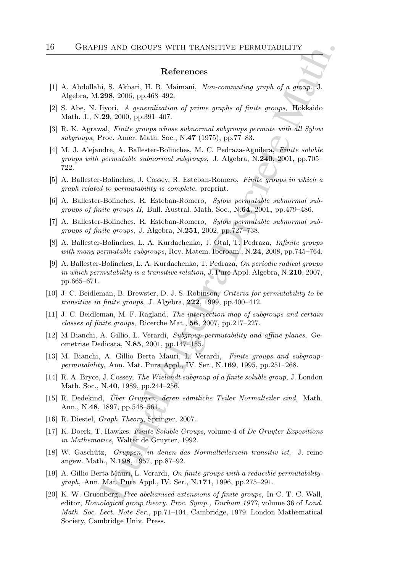#### References

- [1] A. Abdollahi, S. Akbari, H. R. Maimani, Non-commuting graph of a group. J. Algebra, M.298, 2006, pp.468–492.
- [2] S. Abe, N. Iiyori, A generalization of prime graphs of finite groups, Hokkaido Math. J., N.29, 2000, pp.391–407.
- [3] R. K. Agrawal, Finite groups whose subnormal subgroups permute with all Sylow subgroups, Proc. Amer. Math. Soc., N.47 (1975), pp.77–83.
- HS AND GROUPS WITH TRANSITIVE PERMUTABILITY<br>
References<br>
i.i., S. Akbari, H. R. Maimani, Non-commuting graph of a group, J.<br>
298, 2006, pp. 468–492.<br>
1991– $A$  flyoric, A generalization of prime graphs of finite groups. Il [4] M. J. Alejandre, A. Ballester-Bolinches, M. C. Pedraza-Aguilera, Finite soluble groups with permutable subnormal subgroups, J. Algebra, N.240, 2001, pp.705– 722.
- [5] A. Ballester-Bolinches, J. Cossey, R. Esteban-Romero, Finite groups in which a graph related to permutability is complete, preprint.
- [6] A. Ballester-Bolinches, R. Esteban-Romero, Sylow permutable subnormal subgroups of finite groups II, Bull. Austral. Math. Soc.,  $N.64$ , 2001, pp.479–486.
- [7] A. Ballester-Bolinches, R. Esteban-Romero, Sylow permutable subnormal subgroups of finite groups, J. Algebra, N.251, 2002, pp.727–738.
- [8] A. Ballester-Bolinches, L. A. Kurdachenko, J. Otal, T. Pedraza, Infinite groups with many permutable subgroups, Rev. Matem. Iberoam., N.24, 2008, pp.745–764.
- [9] A. Ballester-Bolinches, L. A. Kurdachenko, T. Pedraza, On periodic radical groups in which permutability is a transitive relation, J. Pure Appl. Algebra, N.210, 2007, pp.665–671.
- [10] J. C. Beidleman, B. Brewster, D. J. S. Robinson, Criteria for permutability to be transitive in finite groups, J. Algebra, 222, 1999, pp.400–412.
- [11] J. C. Beidleman, M. F. Ragland, The intersection map of subgroups and certain classes of finite groups, Ricerche Mat., 56, 2007, pp.217–227.
- [12] M Bianchi, A. Gillio, L. Verardi, Subgroup-permutability and affine planes, Geometriae Dedicata, N.85, 2001, pp.147–155.
- [13] M. Bianchi, A. Gillio Berta Mauri, L. Verardi, Finite groups and subgrouppermutability, Ann. Mat. Pura Appl., IV. Ser., N.169, 1995, pp.251–268.
- [14] R. A. Bryce, J. Cossey, The Wielandt subgroup of a finite soluble group, J. London Math. Soc., N.40, 1989, pp.244–256.
- [15] R. Dedekind, *Über Gruppen, deren sámtliche Teiler Normalteiler sind*, Math. Ann., N.48, 1897, pp.548–561.
- [16] R. Diestel, Graph Theory, Springer, 2007.
- [17] K. Doerk, T. Hawkes. Finite Soluble Groups, volume 4 of De Gruyter Expositions in Mathematics, Walter de Gruyter, 1992.
- [18] W. Gasch¨utz, Gruppen, in denen das Normalteilersein transitiv ist, J. reine angew. Math., N.198, 1957, pp.87–92.
- [19] A. Gillio Berta Mauri, L. Verardi, On finite groups with a reducible permutabilitygraph, Ann. Mat. Pura Appl., IV. Ser., N.171, 1996, pp.275–291.
- [20] K. W. Gruenberg, Free abelianised extensions of finite groups, In C. T. C. Wall, editor, Homological group theory. Proc. Symp., Durham 1977, volume 36 of Lond. Math. Soc. Lect. Note Ser., pp.71–104, Cambridge, 1979. London Mathematical Society, Cambridge Univ. Press.